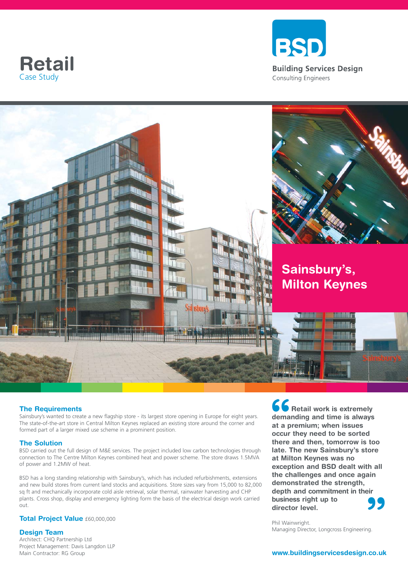





### **The Requirements**

Sainsbury's wanted to create a new flagship store - its largest store opening in Europe for eight years. The state-of-the-art store in Central Milton Keynes replaced an existing store around the corner and formed part of a larger mixed use scheme in a prominent position.

#### **The Solution**

BSD carried out the full design of M&E services. The project included low carbon technologies through connection to The Centre Milton Keynes combined heat and power scheme. The store draws 1.5MVA of power and 1.2MW of heat.

BSD has a long standing relationship with Sainsbury's, which has included refurbishments, extensions and new build stores from current land stocks and acquisitions. Store sizes vary from 15,000 to 82,000 sq ft and mechanically incorporate cold aisle retrieval, solar thermal, rainwater harvesting and CHP plants. Cross shop, display and emergency lighting form the basis of the electrical design work carried out.

#### **Total Project Value** £60,000,000

#### **Design Team**

Architect: CHQ Partnership Ltd Project Management: Davis Langdon LLP Main Contractor: RG Group

**66**<br>dema<br>at a p<br>occur **99**<br>
ng. **Retail work is extremely demanding and time is always at a premium; when issues occur they need to be sorted there and then, tomorrow is too late. The new Sainsbury's store at Milton Keynes was no exception and BSD dealt with all the challenges and once again demonstrated the strength, depth and commitment in their business right up to director level.** 

Phil Wainwright. Managing Director, Longcross Engineering.